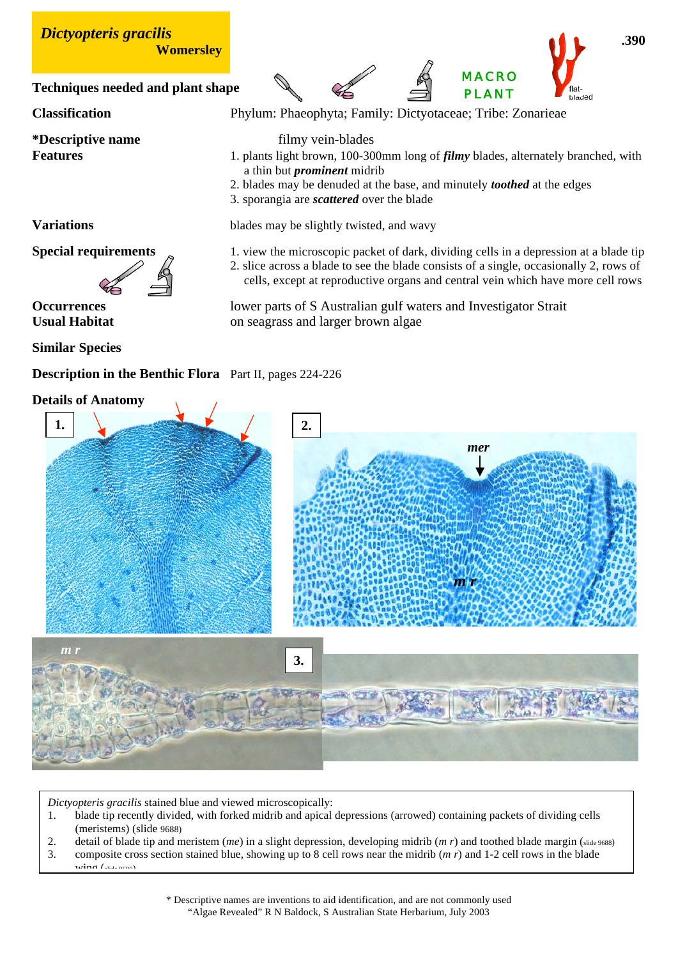

## **Description in the Benthic Flora** Part II, pages 224-226

## **Details of Anatomy**



*Dictyopteris gracilis* stained blue and viewed microscopically:

- 1. blade tip recently divided, with forked midrib and apical depressions (arrowed) containing packets of dividing cells (meristems) (slide 9688)
- 2. detail of blade tip and meristem (*me*) in a slight depression, developing midrib (*m r*) and toothed blade margin (slide 9688)
- 3. composite cross section stained blue, showing up to 8 cell rows near the midrib (*m r*) and 1-2 cell rows in the blade  $\frac{1}{\sin \alpha}$  (see  $\cos \alpha$ )